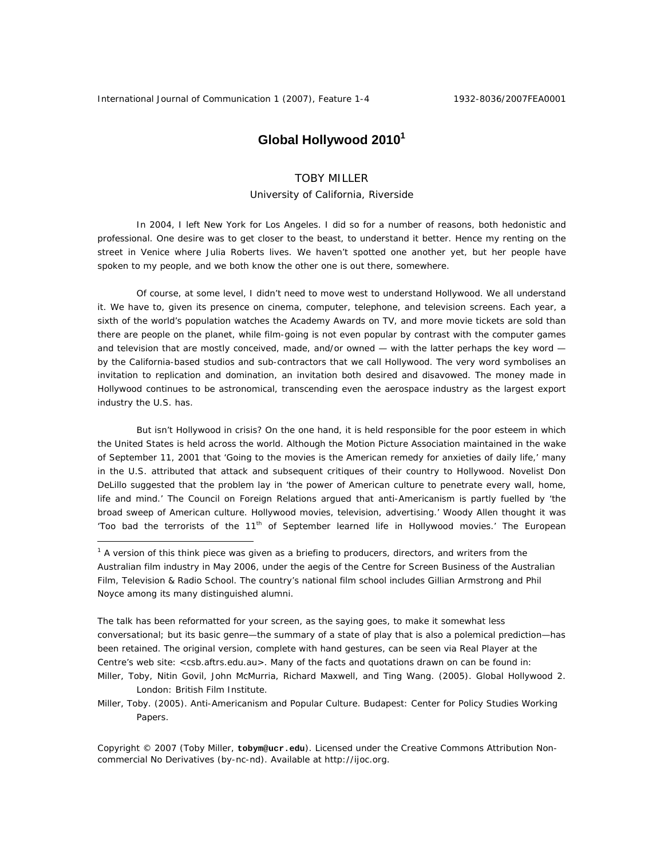$\overline{a}$ 

# Global Hollywood 2010<sup>1</sup>

## TOBY MILLER

### University of California, Riverside

In 2004, I left New York for Los Angeles. I did so for a number of reasons, both hedonistic and professional. One desire was to get closer to the beast, to understand it better. Hence my renting on the street in Venice where Julia Roberts lives. We haven't spotted one another yet, but her people have spoken to my people, and we both know the other one is out there, somewhere.

Of course, at some level, I didn't *need* to move west to understand Hollywood. We *all* understand it. We have to, given its presence on cinema, computer, telephone, and television screens. Each year, a sixth of the world's population watches the Academy Awards on TV, and more movie tickets are sold than there are people on the planet, while film-going is not even popular by contrast with the computer games and television that are mostly conceived, made, and/or owned — with the latter perhaps the key word by the California-based studios and sub-contractors that we call Hollywood. The very word symbolises an invitation to replication and domination, an invitation both desired and disavowed. The money made in Hollywood continues to be astronomical, transcending even the aerospace industry as the largest export industry the U.S. has.

But isn't Hollywood in crisis? On the one hand, it is held responsible for the poor esteem in which the United States is held across the world. Although the Motion Picture Association maintained in the wake of September 11, 2001 that 'Going to the movies is the American remedy for anxieties of daily life,' many in the U.S. attributed that attack and subsequent critiques of their country to Hollywood. Novelist Don DeLillo suggested that the problem lay in 'the power of American culture to penetrate every wall, home, life and mind.' The Council on Foreign Relations argued that anti-Americanism is partly fuelled by 'the broad sweep of American culture. Hollywood movies, television, advertising.' Woody Allen thought it was 'Too bad the terrorists of the 11<sup>th</sup> of September learned life in Hollywood movies.' The European

Copyright © 2007 (Toby Miller, **tobym@ucr.edu**). Licensed under the Creative Commons Attribution Noncommercial No Derivatives (by-nc-nd). Available at http://ijoc.org.

<sup>&</sup>lt;sup>1</sup> A version of this think piece was given as a briefing to producers, directors, and writers from the Australian film industry in May 2006, under the aegis of the Centre for Screen Business of the Australian Film, Television & Radio School. The country's national film school includes Gillian Armstrong and Phil Noyce among its many distinguished alumni.

The talk has been reformatted for your screen, as the saying goes, to make it somewhat less conversational; but its basic genre—the summary of a state of play that is also a polemical prediction—has been retained. The original version, complete with hand gestures, can be seen via Real Player at the Centre's web site: <csb.aftrs.edu.au>. Many of the facts and quotations drawn on can be found in: Miller, Toby, Nitin Govil, John McMurria, Richard Maxwell, and Ting Wang. (2005). *Global Hollywood 2*.

London: British Film Institute.

Miller, Toby. (2005). *Anti-Americanism and Popular Culture*. Budapest: Center for Policy Studies Working Papers.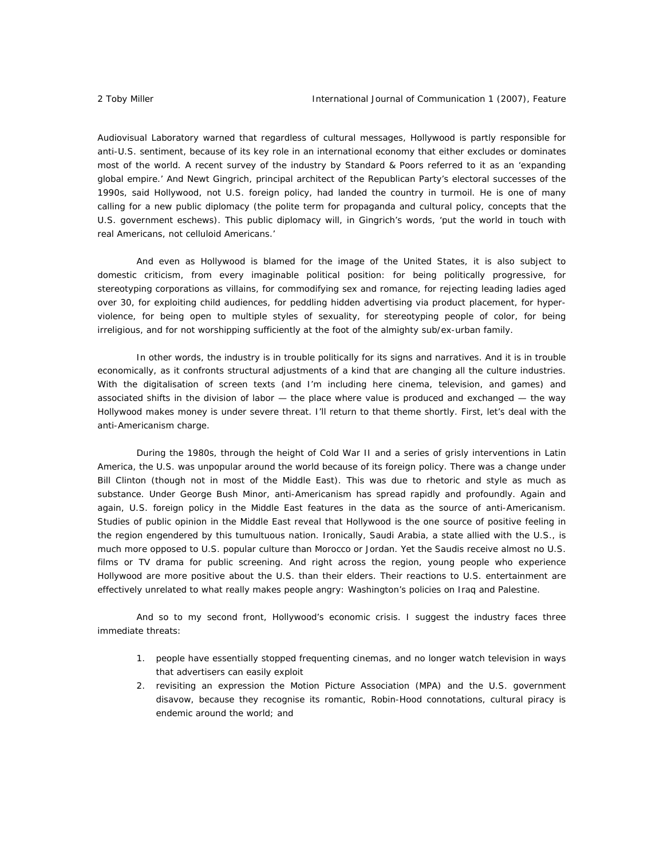Audiovisual Laboratory warned that regardless of cultural messages, Hollywood is partly responsible for anti-U.S. sentiment, because of its key role in an international economy that either excludes or dominates most of the world. A recent survey of the industry by Standard & Poors referred to it as an 'expanding global empire.' And Newt Gingrich, principal architect of the Republican Party's electoral successes of the 1990s, said Hollywood, not U.S. foreign policy, had landed the country in turmoil. He is one of many calling for a new public diplomacy (the polite term for propaganda and cultural policy, concepts that the U.S. government eschews). This public diplomacy will, in Gingrich's words, 'put the world in touch with real Americans, not celluloid Americans.'

And even as Hollywood is blamed for the image of the United States, it is also subject to domestic criticism, from every imaginable political position: for being politically progressive, for stereotyping corporations as villains, for commodifying sex and romance, for rejecting leading ladies aged over 30, for exploiting child audiences, for peddling hidden advertising via product placement, for hyperviolence, for being open to multiple styles of sexuality, for stereotyping people of color, for being irreligious, and for not worshipping sufficiently at the foot of the almighty sub/ex-urban family.

In other words, the industry is in trouble politically for its signs and narratives. And it is in trouble economically, as it confronts structural adjustments of a kind that are changing all the culture industries. With the digitalisation of screen texts (and I'm including here cinema, television, and games) and associated shifts in the division of labor — the place where value is produced and exchanged — the way Hollywood makes money is under severe threat. I'll return to that theme shortly. First, let's deal with the anti-Americanism charge.

During the 1980s, through the height of Cold War II and a series of grisly interventions in Latin America, the U.S. was unpopular around the world because of its foreign policy. There was a change under Bill Clinton (though not in most of the Middle East). This was due to rhetoric and style as much as substance. Under George Bush Minor, anti-Americanism has spread rapidly and profoundly. Again and again, U.S. foreign policy in the Middle East features in the data as *the* source of anti-Americanism. Studies of public opinion in the Middle East reveal that Hollywood is the one source of positive feeling in the region engendered by this tumultuous nation. Ironically, Saudi Arabia, a state allied with the U.S., is much more opposed to U.S. popular culture than Morocco or Jordan. Yet the Saudis receive almost no U.S. films or TV drama for public screening. And right across the region, young people who experience Hollywood are more positive about the U.S. than their elders. Their reactions to U.S. entertainment are effectively unrelated to what really makes people angry: Washington's policies on Iraq and Palestine.

And so to my second front, Hollywood's economic crisis. I suggest the industry faces three immediate threats:

- 1. people have essentially stopped frequenting cinemas, and no longer watch television in ways that advertisers can easily exploit
- 2. revisiting an expression the Motion Picture Association (MPA) and the U.S. government disavow, because they recognise its romantic, Robin-Hood connotations, cultural piracy is endemic around the world; and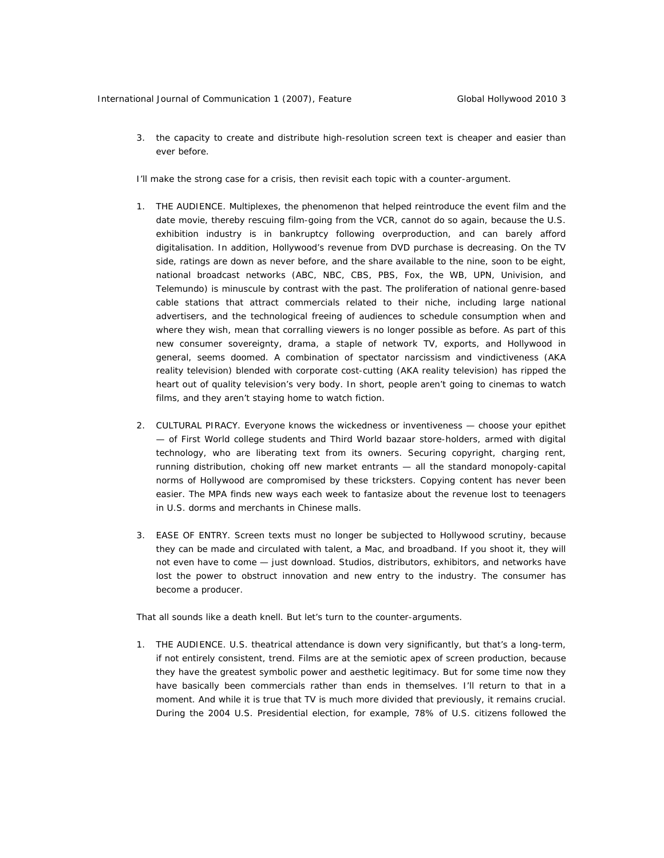3. the capacity to create and distribute high-resolution screen text is cheaper and easier than ever before.

I'll make the strong case for a crisis, then revisit each topic with a counter-argument.

- 1. THE AUDIENCE. Multiplexes, the phenomenon that helped reintroduce the event film and the date movie, thereby rescuing film-going from the VCR, cannot do so again, because the U.S. exhibition industry is in bankruptcy following overproduction, and can barely afford digitalisation. In addition, Hollywood's revenue from DVD purchase is decreasing. On the TV side, ratings are down as never before, and the share available to the nine, soon to be eight, national broadcast networks (ABC, NBC, CBS, PBS, Fox, the WB, UPN, Univision, and Telemundo) is minuscule by contrast with the past. The proliferation of national genre-based cable stations that attract commercials related to their niche, including large national advertisers, and the technological freeing of audiences to schedule consumption when and where they wish, mean that corralling viewers is no longer possible as before. As part of this new consumer sovereignty, drama, a staple of network TV, exports, and Hollywood in general, seems doomed. A combination of spectator narcissism and vindictiveness (AKA reality television) blended with corporate cost-cutting (AKA reality television) has ripped the heart out of quality television's very body. In short, people aren't going to cinemas to watch films, and they aren't staying home to watch fiction.
- 2. CULTURAL PIRACY. Everyone knows the wickedness or inventiveness choose your epithet — of First World college students and Third World bazaar store-holders, armed with digital technology, who are liberating text from its owners. Securing copyright, charging rent, running distribution, choking off new market entrants — all the standard monopoly-capital norms of Hollywood are compromised by these tricksters. Copying content has never been easier. The MPA finds new ways each week to fantasize about the revenue lost to teenagers in U.S. dorms and merchants in Chinese malls.
- 3. EASE OF ENTRY. Screen texts must no longer be subjected to Hollywood scrutiny, because they can be made and circulated with talent, a Mac, and broadband. If you shoot it, they will not even *have* to come — just download. Studios, distributors, exhibitors, and networks have lost the power to obstruct innovation and new entry to the industry. The consumer has become a producer.

That all sounds like a death knell. But let's turn to the counter-arguments.

1. THE AUDIENCE. U.S. theatrical attendance is down very significantly, but that's a long-term, if not entirely consistent, trend. Films are at the semiotic apex of screen production, because they have the greatest symbolic power and aesthetic legitimacy. But for some time now they have basically been commercials rather than ends in themselves. I'll return to that in a moment. And while it is true that TV is much more divided that previously, it remains crucial. During the 2004 U.S. Presidential election, for example, 78% of U.S. citizens followed the